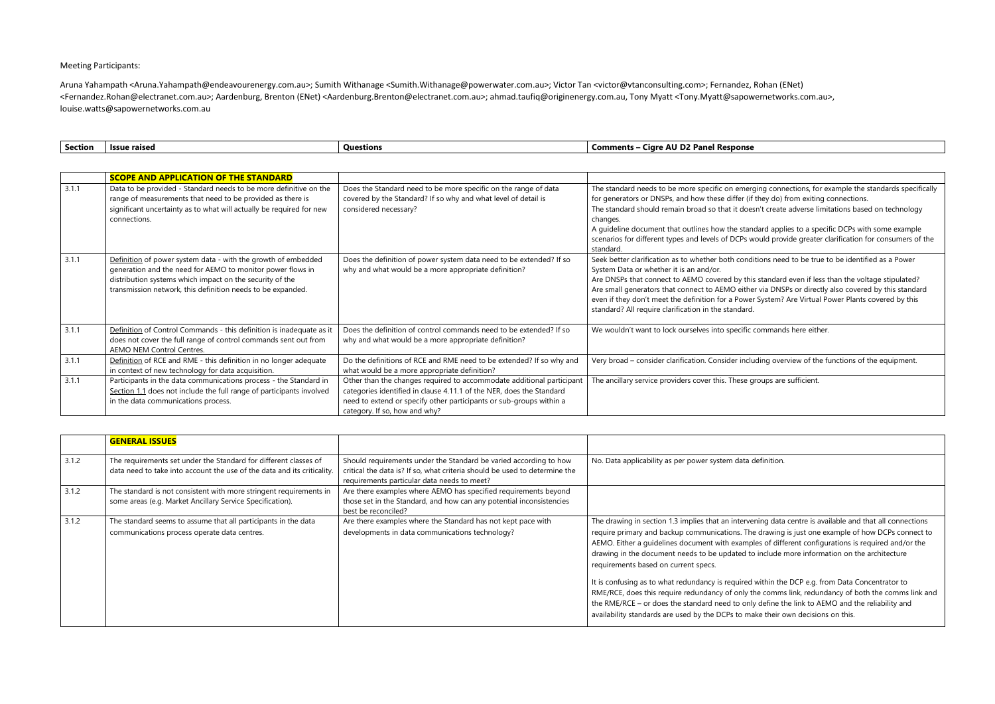## Meeting Participants:

Aruna Yahampath <Aruna.Yahampath@endeavourenergy.com.au>; Sumith Withanage <Sumith.Withanage@powerwater.com.au>; Victor Tan <victor@vtanconsulting.com>; Fernandez, Rohan (ENet) <Fernandez.Rohan@electranet.com.au>; Aardenburg, Brenton (ENet) <Aardenburg.Brenton@electranet.com.au>; [ahmad.taufiq@originenergy.com.au,](mailto:ahmad.taufiq@originenergy.com.au) Tony Myatt <Tony.Myatt@sapowernetworks.com.au>, [louise.watts@sapowernetworks.com.au](mailto:louise.watts@sapowernetworks.com.au)

I definition.

vening data centre is available and that all connections he drawing is just one example of how DCPs connect to ples of different configurations is required and/or the to include more information on the architecture

I within the DCP e.g. from Data Concentrator to the comms link, redundancy of both the comms link and hly define the link to AEMO and the reliability and nake their own decisions on this.

| Section | <b>Issue raised</b>                                                                                                                                                                                                                                    | <b>Questions</b>                                                                                                                                                                                                                                      | <b>Comments - Cigre AU D2 Panel Response</b>                                                                                                                                                                                                                                                                                                                                                                                                                                |
|---------|--------------------------------------------------------------------------------------------------------------------------------------------------------------------------------------------------------------------------------------------------------|-------------------------------------------------------------------------------------------------------------------------------------------------------------------------------------------------------------------------------------------------------|-----------------------------------------------------------------------------------------------------------------------------------------------------------------------------------------------------------------------------------------------------------------------------------------------------------------------------------------------------------------------------------------------------------------------------------------------------------------------------|
|         |                                                                                                                                                                                                                                                        |                                                                                                                                                                                                                                                       |                                                                                                                                                                                                                                                                                                                                                                                                                                                                             |
|         | <b>SCOPE AND APPLICATION OF THE STANDARD</b>                                                                                                                                                                                                           |                                                                                                                                                                                                                                                       |                                                                                                                                                                                                                                                                                                                                                                                                                                                                             |
| 3.1.1   | Data to be provided - Standard needs to be more definitive on the<br>range of measurements that need to be provided as there is<br>significant uncertainty as to what will actually be required for new<br>connections.                                | Does the Standard need to be more specific on the range of data<br>covered by the Standard? If so why and what level of detail is<br>considered necessary?                                                                                            | The standard needs to be more specific on emerging connections, for example the s<br>for generators or DNSPs, and how these differ (if they do) from exiting connections.<br>The standard should remain broad so that it doesn't create adverse limitations base<br>changes.<br>A guideline document that outlines how the standard applies to a specific DCPs with<br>scenarios for different types and levels of DCPs would provide greater clarification fo<br>standard. |
| 3.1.1   | Definition of power system data - with the growth of embedded<br>generation and the need for AEMO to monitor power flows in<br>distribution systems which impact on the security of the<br>transmission network, this definition needs to be expanded. | Does the definition of power system data need to be extended? If so<br>why and what would be a more appropriate definition?                                                                                                                           | Seek better clarification as to whether both conditions need to be true to be identifi<br>System Data or whether it is an and/or.<br>Are DNSPs that connect to AEMO covered by this standard even if less than the volt<br>Are small generators that connect to AEMO either via DNSPs or directly also covered<br>even if they don't meet the definition for a Power System? Are Virtual Power Plants<br>standard? All require clarification in the standard.               |
| 3.1.1   | Definition of Control Commands - this definition is inadequate as it<br>does not cover the full range of control commands sent out from<br>AEMO NEM Control Centres.                                                                                   | Does the definition of control commands need to be extended? If so<br>why and what would be a more appropriate definition?                                                                                                                            | We wouldn't want to lock ourselves into specific commands here either.                                                                                                                                                                                                                                                                                                                                                                                                      |
| 3.1.1   | Definition of RCE and RME - this definition in no longer adequate<br>in context of new technology for data acquisition.                                                                                                                                | Do the definitions of RCE and RME need to be extended? If so why and<br>what would be a more appropriate definition?                                                                                                                                  | Very broad - consider clarification. Consider including overview of the functions of t                                                                                                                                                                                                                                                                                                                                                                                      |
| 3.1.1   | Participants in the data communications process - the Standard in<br>Section 1.1 does not include the full range of participants involved<br>in the data communications process.                                                                       | Other than the changes required to accommodate additional participant<br>categories identified in clause 4.11.1 of the NER, does the Standard<br>need to extend or specify other participants or sub-groups within a<br>category. If so, how and why? | The ancillary service providers cover this. These groups are sufficient.                                                                                                                                                                                                                                                                                                                                                                                                    |

|       | <b>GENERAL ISSUES</b>                                                                                                                       |                                                                                                                                                                                                |                                                                                                                                                                                                                                                                                                                                                                                                                                                            |
|-------|---------------------------------------------------------------------------------------------------------------------------------------------|------------------------------------------------------------------------------------------------------------------------------------------------------------------------------------------------|------------------------------------------------------------------------------------------------------------------------------------------------------------------------------------------------------------------------------------------------------------------------------------------------------------------------------------------------------------------------------------------------------------------------------------------------------------|
| 3.1.2 | The requirements set under the Standard for different classes of<br>data need to take into account the use of the data and its criticality. | Should requirements under the Standard be varied according to how<br>critical the data is? If so, what criteria should be used to determine the<br>requirements particular data needs to meet? | No. Data applicability as per power system data                                                                                                                                                                                                                                                                                                                                                                                                            |
| 3.1.2 | The standard is not consistent with more stringent requirements in<br>some areas (e.g. Market Ancillary Service Specification).             | Are there examples where AEMO has specified requirements beyond<br>those set in the Standard, and how can any potential inconsistencies<br>best be reconciled?                                 |                                                                                                                                                                                                                                                                                                                                                                                                                                                            |
| 3.1.2 | The standard seems to assume that all participants in the data<br>communications process operate data centres.                              | Are there examples where the Standard has not kept pace with<br>developments in data communications technology?                                                                                | The drawing in section 1.3 implies that an interve<br>require primary and backup communications. Th<br>AEMO. Either a guidelines document with examp<br>drawing in the document needs to be updated t<br>requirements based on current specs.<br>It is confusing as to what redundancy is required<br>RME/RCE, does this require redundancy of only t<br>the RME/RCE - or does the standard need to on<br>availability standards are used by the DCPs to m |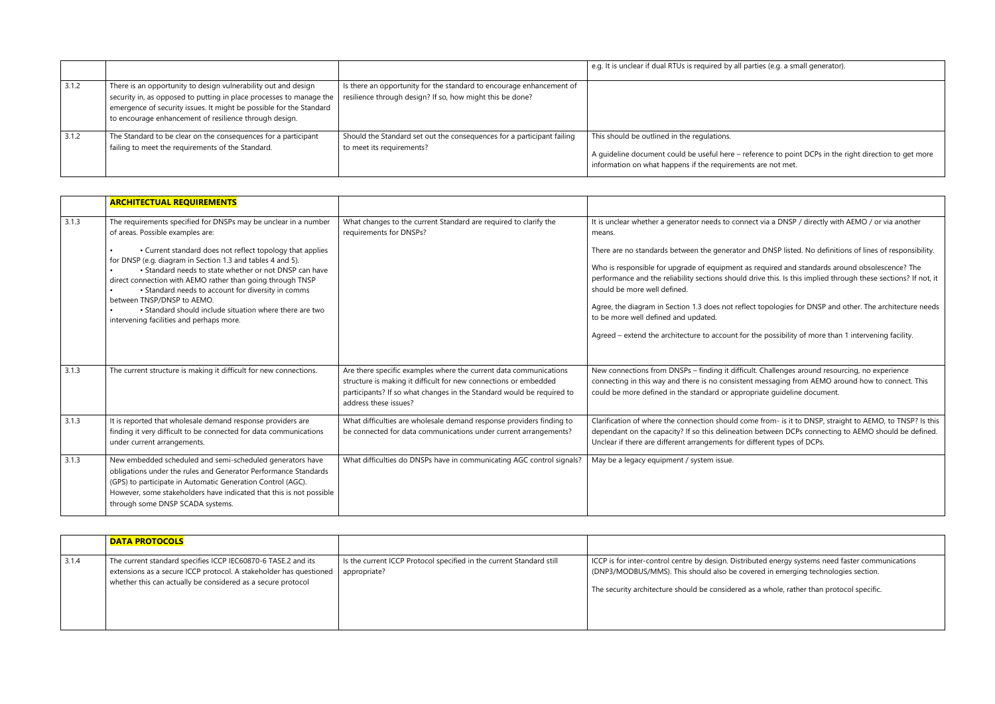|       |                                                                                                                                                                                                                                                                        |                                                                                                                                   | e.g. It is unclear if dual RTUs is required by all pa                                                                                            |
|-------|------------------------------------------------------------------------------------------------------------------------------------------------------------------------------------------------------------------------------------------------------------------------|-----------------------------------------------------------------------------------------------------------------------------------|--------------------------------------------------------------------------------------------------------------------------------------------------|
| 3.1.2 | There is an opportunity to design vulnerability out and design<br>security in, as opposed to putting in place processes to manage the<br>emergence of security issues. It might be possible for the Standard<br>to encourage enhancement of resilience through design. | Is there an opportunity for the standard to encourage enhancement of<br>resilience through design? If so, how might this be done? |                                                                                                                                                  |
| 3.1.2 | The Standard to be clear on the consequences for a participant<br>failing to meet the requirements of the Standard.                                                                                                                                                    | Should the Standard set out the consequences for a participant failing<br>to meet its requirements?                               | This should be outlined in the regulations.<br>A quideline document could be useful here - ref<br>information on what happens if the requirement |

|       | <b>ARCHITECTUAL REQUIREMENTS</b>                                                                                                                                                                                                                                                                                                                                                                                                                                                                                                                  |                                                                                                                                                                                                                                         |                                                                                                                                                                                                                                                                                                                                                                                                 |
|-------|---------------------------------------------------------------------------------------------------------------------------------------------------------------------------------------------------------------------------------------------------------------------------------------------------------------------------------------------------------------------------------------------------------------------------------------------------------------------------------------------------------------------------------------------------|-----------------------------------------------------------------------------------------------------------------------------------------------------------------------------------------------------------------------------------------|-------------------------------------------------------------------------------------------------------------------------------------------------------------------------------------------------------------------------------------------------------------------------------------------------------------------------------------------------------------------------------------------------|
| 3.1.3 | The requirements specified for DNSPs may be unclear in a number<br>of areas. Possible examples are:<br>• Current standard does not reflect topology that applies<br>for DNSP (e.g. diagram in Section 1.3 and tables 4 and 5).<br>• Standard needs to state whether or not DNSP can have<br>direct connection with AEMO rather than going through TNSP<br>• Standard needs to account for diversity in comms<br>between TNSP/DNSP to AEMO.<br>• Standard should include situation where there are two<br>intervening facilities and perhaps more. | What changes to the current Standard are required to clarify the<br>requirements for DNSPs?                                                                                                                                             | It is unclear whether a generator needs to conne<br>means.<br>There are no standards between the generator a<br>Who is responsible for upgrade of equipment a<br>performance and the reliability sections should<br>should be more well defined.<br>Agree, the diagram in Section 1.3 does not refle<br>to be more well defined and updated.<br>Agreed - extend the architecture to account for |
| 3.1.3 | The current structure is making it difficult for new connections.                                                                                                                                                                                                                                                                                                                                                                                                                                                                                 | Are there specific examples where the current data communications<br>structure is making it difficult for new connections or embedded<br>participants? If so what changes in the Standard would be required to<br>address these issues? | New connections from DNSPs - finding it difficu<br>connecting in this way and there is no consisten<br>could be more defined in the standard or appro                                                                                                                                                                                                                                           |
| 3.1.3 | It is reported that wholesale demand response providers are<br>finding it very difficult to be connected for data communications<br>under current arrangements.                                                                                                                                                                                                                                                                                                                                                                                   | What difficulties are wholesale demand response providers finding to<br>be connected for data communications under current arrangements?                                                                                                | Clarification of where the connection should cor<br>dependant on the capacity? If so this delineation<br>Unclear if there are different arrangements for c                                                                                                                                                                                                                                      |
| 3.1.3 | New embedded scheduled and semi-scheduled generators have<br>obligations under the rules and Generator Performance Standards<br>(GPS) to participate in Automatic Generation Control (AGC).<br>However, some stakeholders have indicated that this is not possible<br>through some DNSP SCADA systems.                                                                                                                                                                                                                                            | What difficulties do DNSPs have in communicating AGC control signals?                                                                                                                                                                   | May be a legacy equipment / system issue.                                                                                                                                                                                                                                                                                                                                                       |

|       | <b>DATA PROTOCOLS</b>                                                                                                                                                                               |                                                                                      |                                                                                                                                                        |
|-------|-----------------------------------------------------------------------------------------------------------------------------------------------------------------------------------------------------|--------------------------------------------------------------------------------------|--------------------------------------------------------------------------------------------------------------------------------------------------------|
| 3.1.4 | The current standard specifies ICCP IEC60870-6 TASE.2 and its<br>extensions as a secure ICCP protocol. A stakeholder has questioned<br>whether this can actually be considered as a secure protocol | Is the current ICCP Protocol specified in the current Standard still<br>appropriate? | ICCP is for inter-control centre by design. Distrib<br>(DNP3/MODBUS/MMS). This should also be cove<br>The security architecture should be considered a |

arties (e.g. a small generator).

ference to point DCPs in the right direction to get more its are not met.

It is unclear a DNSP / directly with AEMO / or via another

and DNSP listed. No definitions of lines of responsibility.

is required and standards around obsolescence? The drive this. Is this implied through these sections? If not, it

ect topologies for DNSP and other. The architecture needs

r the possibility of more than 1 intervening facility.

ult. Challenges around resourcing, no experience nt messaging from AEMO around how to connect. This ppriate guideline document.

me from- is it to DNSP, straight to AEMO, to TNSP? Is this In between DCPs connecting to AEMO should be defined. different types of DCPs.

buted energy systems need faster communications vered in emerging technologies section.

as a whole, rather than protocol specific.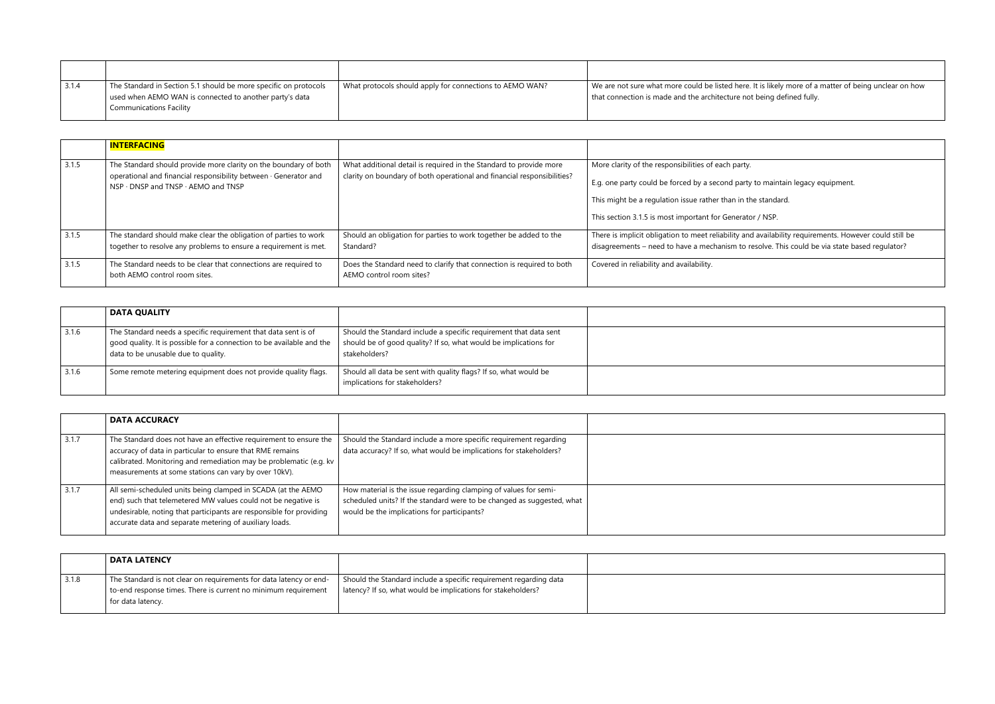| 3.1.4 | The Standard in Section 5.1 should be more specific on protocols<br>used when AEMO WAN is connected to another party's data<br><b>Communications Facility</b> | What protocols should apply for connections to AEMO WAN? | We are not sure what more could be listed here. It is likely more of a matter of being unclear on how<br>that connection is made and the architecture not being defined fully. |
|-------|---------------------------------------------------------------------------------------------------------------------------------------------------------------|----------------------------------------------------------|--------------------------------------------------------------------------------------------------------------------------------------------------------------------------------|

|       | <b>INTERFACING</b>                                                                                                                                                                        |                                                                                                                                               |                                                                                                                                                                                                                    |
|-------|-------------------------------------------------------------------------------------------------------------------------------------------------------------------------------------------|-----------------------------------------------------------------------------------------------------------------------------------------------|--------------------------------------------------------------------------------------------------------------------------------------------------------------------------------------------------------------------|
| 3.1.5 | The Standard should provide more clarity on the boundary of both<br>operational and financial responsibility between · Generator and<br>$NSP \cdot DNSP$ and $TNSP \cdot AEMO$ and $TNSP$ | What additional detail is required in the Standard to provide more<br>clarity on boundary of both operational and financial responsibilities? | More clarity of the responsibilities of each party.<br>E.g. one party could be forced by a second party<br>This might be a regulation issue rather than in th<br>This section 3.1.5 is most important for Generato |
| 3.1.5 | The standard should make clear the obligation of parties to work<br>together to resolve any problems to ensure a requirement is met.                                                      | Should an obligation for parties to work together be added to the<br>Standard?                                                                | There is implicit obligation to meet reliability and<br>disagreements - need to have a mechanism to re                                                                                                             |
| 3.1.5 | The Standard needs to be clear that connections are required to<br>both AEMO control room sites.                                                                                          | Does the Standard need to clarify that connection is required to both<br>AEMO control room sites?                                             | Covered in reliability and availability.                                                                                                                                                                           |

|       | <b>DATA QUALITY</b>                                                                                                                                                            |                                                                                                                                                        |  |
|-------|--------------------------------------------------------------------------------------------------------------------------------------------------------------------------------|--------------------------------------------------------------------------------------------------------------------------------------------------------|--|
| 3.1.6 | The Standard needs a specific requirement that data sent is of<br>good quality. It is possible for a connection to be available and the<br>data to be unusable due to quality. | Should the Standard include a specific requirement that data sent<br>should be of good quality? If so, what would be implications for<br>stakeholders? |  |
| 3.1.6 | Some remote metering equipment does not provide quality flags.                                                                                                                 | Should all data be sent with quality flags? If so, what would be<br>implications for stakeholders?                                                     |  |

|       | <b>DATA ACCURACY</b>                                                                                                                                                                                                                                            |                                                                                                                                                                                           |  |
|-------|-----------------------------------------------------------------------------------------------------------------------------------------------------------------------------------------------------------------------------------------------------------------|-------------------------------------------------------------------------------------------------------------------------------------------------------------------------------------------|--|
| 3.1.7 | The Standard does not have an effective requirement to ensure the<br>accuracy of data in particular to ensure that RME remains<br>calibrated. Monitoring and remediation may be problematic (e.g. kv<br>measurements at some stations can vary by over 10kV).   | Should the Standard include a more specific requirement regarding<br>data accuracy? If so, what would be implications for stakeholders?                                                   |  |
| 3.1.7 | All semi-scheduled units being clamped in SCADA (at the AEMO<br>end) such that telemetered MW values could not be negative is<br>undesirable, noting that participants are responsible for providing<br>accurate data and separate metering of auxiliary loads. | How material is the issue regarding clamping of values for semi-<br>scheduled units? If the standard were to be changed as suggested, what<br>would be the implications for participants? |  |

|       | <b>DATA LATENCY</b>                                                                                                                                       |                                                                                                                                   |  |
|-------|-----------------------------------------------------------------------------------------------------------------------------------------------------------|-----------------------------------------------------------------------------------------------------------------------------------|--|
| 3.1.8 | The Standard is not clear on requirements for data latency or end-<br>to-end response times. There is current no minimum requirement<br>for data latency. | Should the Standard include a specific requirement regarding data<br>latency? If so, what would be implications for stakeholders? |  |

 $\gamma$  to maintain legacy equipment.

he standard.

or / NSP.

nd availability requirements. However could still be resolve. This could be via state based regulator?

|                                                 | and the control of the control of the control of the control of the control of the control of the control of the |  |  |
|-------------------------------------------------|------------------------------------------------------------------------------------------------------------------|--|--|
|                                                 |                                                                                                                  |  |  |
|                                                 |                                                                                                                  |  |  |
|                                                 |                                                                                                                  |  |  |
|                                                 |                                                                                                                  |  |  |
| the contract of the contract of the contract of |                                                                                                                  |  |  |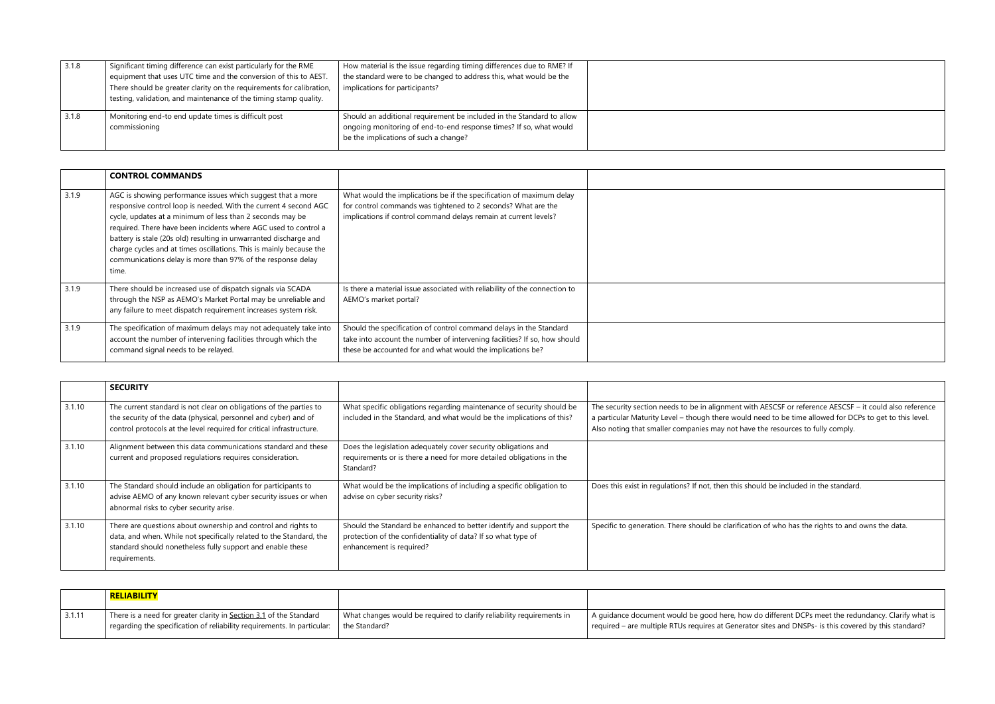| 3.1.8 | Significant timing difference can exist particularly for the RME<br>equipment that uses UTC time and the conversion of this to AEST.<br>There should be greater clarity on the requirements for calibration,<br>testing, validation, and maintenance of the timing stamp quality. | How material is the issue regarding timing differences due to RME? If<br>the standard were to be changed to address this, what would be the<br>implications for participants?        |  |
|-------|-----------------------------------------------------------------------------------------------------------------------------------------------------------------------------------------------------------------------------------------------------------------------------------|--------------------------------------------------------------------------------------------------------------------------------------------------------------------------------------|--|
| 3.1.8 | Monitoring end-to end update times is difficult post<br>commissioning                                                                                                                                                                                                             | Should an additional requirement be included in the Standard to allow<br>ongoing monitoring of end-to-end response times? If so, what would<br>be the implications of such a change? |  |

|       | <b>CONTROL COMMANDS</b>                                                                                                                                                                                                                                                                                                                                                                                                                                                             |                                                                                                                                                                                                               |  |
|-------|-------------------------------------------------------------------------------------------------------------------------------------------------------------------------------------------------------------------------------------------------------------------------------------------------------------------------------------------------------------------------------------------------------------------------------------------------------------------------------------|---------------------------------------------------------------------------------------------------------------------------------------------------------------------------------------------------------------|--|
| 3.1.9 | AGC is showing performance issues which suggest that a more<br>responsive control loop is needed. With the current 4 second AGC<br>cycle, updates at a minimum of less than 2 seconds may be<br>required. There have been incidents where AGC used to control a<br>battery is stale (20s old) resulting in unwarranted discharge and<br>charge cycles and at times oscillations. This is mainly because the<br>communications delay is more than 97% of the response delay<br>time. | What would the implications be if the specification of maximum delay<br>for control commands was tightened to 2 seconds? What are the<br>implications if control command delays remain at current levels?     |  |
| 3.1.9 | There should be increased use of dispatch signals via SCADA<br>through the NSP as AEMO's Market Portal may be unreliable and<br>any failure to meet dispatch requirement increases system risk.                                                                                                                                                                                                                                                                                     | Is there a material issue associated with reliability of the connection to<br>AEMO's market portal?                                                                                                           |  |
| 3.1.9 | The specification of maximum delays may not adequately take into<br>account the number of intervening facilities through which the<br>command signal needs to be relayed.                                                                                                                                                                                                                                                                                                           | Should the specification of control command delays in the Standard<br>take into account the number of intervening facilities? If so, how should<br>these be accounted for and what would the implications be? |  |

|        | <b>SECURITY</b>                                                                                                                                                                                                     |                                                                                                                                                                 |                                                                                                                                                          |
|--------|---------------------------------------------------------------------------------------------------------------------------------------------------------------------------------------------------------------------|-----------------------------------------------------------------------------------------------------------------------------------------------------------------|----------------------------------------------------------------------------------------------------------------------------------------------------------|
| 3.1.10 | The current standard is not clear on obligations of the parties to<br>the security of the data (physical, personnel and cyber) and of<br>control protocols at the level required for critical infrastructure.       | What specific obligations regarding maintenance of security should be<br>included in the Standard, and what would be the implications of this?                  | The security section needs to be in alignment wit<br>a particular Maturity Level - though there would<br>Also noting that smaller companies may not have |
| 3.1.10 | Alignment between this data communications standard and these<br>current and proposed regulations requires consideration.                                                                                           | Does the legislation adequately cover security obligations and<br>requirements or is there a need for more detailed obligations in the<br>Standard?             |                                                                                                                                                          |
| 3.1.10 | The Standard should include an obligation for participants to<br>advise AEMO of any known relevant cyber security issues or when<br>abnormal risks to cyber security arise.                                         | What would be the implications of including a specific obligation to<br>advise on cyber security risks?                                                         | Does this exist in regulations? If not, then this sh                                                                                                     |
| 3.1.10 | There are questions about ownership and control and rights to<br>data, and when. While not specifically related to the Standard, the<br>standard should nonetheless fully support and enable these<br>requirements. | Should the Standard be enhanced to better identify and support the<br>protection of the confidentiality of data? If so what type of<br>enhancement is required? | Specific to generation. There should be clarificati                                                                                                      |

|        | <b>RELIABILITY</b>                                                      |                                                                       |                                                  |
|--------|-------------------------------------------------------------------------|-----------------------------------------------------------------------|--------------------------------------------------|
| 3.1.11 | There is a need for greater clarity in Section 3.1 of the Standard      | What changes would be required to clarify reliability requirements in | A quidance document would be good here, how      |
|        | regarding the specification of reliability requirements. In particular: | the Standard?                                                         | required – are multiple RTUs requires at Generat |

ith AESCSF or reference AESCSF – it could also reference I need to be time allowed for DCPs to get to this level. ve the resources to fully comply.

hould be included in the standard.

tion of who has the rights to and owns the data.

v do different DCPs meet the redundancy. Clarify what is ator sites and DNSPs- is this covered by this standard?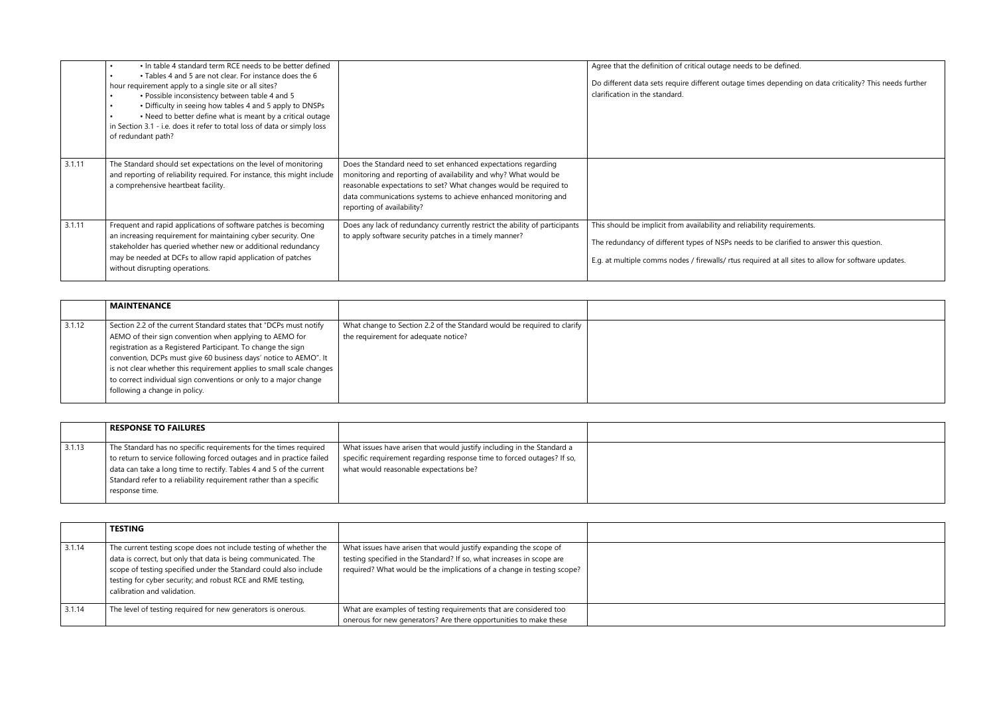|        | • In table 4 standard term RCE needs to be better defined<br>$\bullet$<br>• Tables 4 and 5 are not clear. For instance does the 6<br>hour requirement apply to a single site or all sites?<br>. Possible inconsistency between table 4 and 5<br>• Difficulty in seeing how tables 4 and 5 apply to DNSPs<br>• Need to better define what is meant by a critical outage<br>in Section 3.1 - i.e. does it refer to total loss of data or simply loss<br>of redundant path? |                                                                                                                                                                                                                                                                                                       | Agree that the definition of critical outage need<br>Do different data sets require different outage t<br>clarification in the standard.                    |
|--------|--------------------------------------------------------------------------------------------------------------------------------------------------------------------------------------------------------------------------------------------------------------------------------------------------------------------------------------------------------------------------------------------------------------------------------------------------------------------------|-------------------------------------------------------------------------------------------------------------------------------------------------------------------------------------------------------------------------------------------------------------------------------------------------------|-------------------------------------------------------------------------------------------------------------------------------------------------------------|
| 3.1.11 | The Standard should set expectations on the level of monitoring<br>and reporting of reliability required. For instance, this might include<br>a comprehensive heartbeat facility.                                                                                                                                                                                                                                                                                        | Does the Standard need to set enhanced expectations regarding<br>monitoring and reporting of availability and why? What would be<br>reasonable expectations to set? What changes would be required to<br>data communications systems to achieve enhanced monitoring and<br>reporting of availability? |                                                                                                                                                             |
| 3.1.11 | Frequent and rapid applications of software patches is becoming<br>an increasing requirement for maintaining cyber security. One<br>stakeholder has queried whether new or additional redundancy<br>may be needed at DCFs to allow rapid application of patches<br>without disrupting operations.                                                                                                                                                                        | Does any lack of redundancy currently restrict the ability of participants<br>to apply software security patches in a timely manner?                                                                                                                                                                  | This should be implicit from availability and relia<br>The redundancy of different types of NSPs need<br>E.g. at multiple comms nodes / firewalls/ rtus rea |

|        | <b>MAINTENANCE</b>                                                   |                                                                         |  |
|--------|----------------------------------------------------------------------|-------------------------------------------------------------------------|--|
| 3.1.12 | Section 2.2 of the current Standard states that "DCPs must notify    | What change to Section 2.2 of the Standard would be required to clarify |  |
|        | AEMO of their sign convention when applying to AEMO for              | the requirement for adequate notice?                                    |  |
|        | registration as a Registered Participant. To change the sign         |                                                                         |  |
|        | convention, DCPs must give 60 business days' notice to AEMO". It     |                                                                         |  |
|        | is not clear whether this requirement applies to small scale changes |                                                                         |  |
|        | to correct individual sign conventions or only to a major change     |                                                                         |  |
|        | following a change in policy.                                        |                                                                         |  |

|        | <b>RESPONSE TO FAILURES</b>                                                                                                                                                                                                                                                                             |                                                                                                                                                                                            |  |
|--------|---------------------------------------------------------------------------------------------------------------------------------------------------------------------------------------------------------------------------------------------------------------------------------------------------------|--------------------------------------------------------------------------------------------------------------------------------------------------------------------------------------------|--|
| 3.1.13 | The Standard has no specific requirements for the times required<br>to return to service following forced outages and in practice failed<br>data can take a long time to rectify. Tables 4 and 5 of the current<br>Standard refer to a reliability requirement rather than a specific<br>response time. | What issues have arisen that would justify including in the Standard a<br>specific requirement regarding response time to forced outages? If so,<br>what would reasonable expectations be? |  |

|        | <b>TESTING</b>                                                                                                                                                                                                                                                                                        |                                                                                                                                                                                                                      |  |
|--------|-------------------------------------------------------------------------------------------------------------------------------------------------------------------------------------------------------------------------------------------------------------------------------------------------------|----------------------------------------------------------------------------------------------------------------------------------------------------------------------------------------------------------------------|--|
| 3.1.14 | The current testing scope does not include testing of whether the<br>data is correct, but only that data is being communicated. The<br>scope of testing specified under the Standard could also include<br>testing for cyber security; and robust RCE and RME testing,<br>calibration and validation. | What issues have arisen that would justify expanding the scope of<br>testing specified in the Standard? If so, what increases in scope are<br>required? What would be the implications of a change in testing scope? |  |
| 3.1.14 | The level of testing required for new generators is onerous.                                                                                                                                                                                                                                          | What are examples of testing requirements that are considered too<br>onerous for new generators? Are there opportunities to make these                                                                               |  |

ds to be defined.

times depending on data criticality? This needs further

ability requirements.

ds to be clarified to answer this question.

equired at all sites to allow for software updates.

| the control of the control of the control of |  |  |
|----------------------------------------------|--|--|
|                                              |  |  |
|                                              |  |  |
|                                              |  |  |
|                                              |  |  |
|                                              |  |  |
|                                              |  |  |
|                                              |  |  |
|                                              |  |  |
|                                              |  |  |
|                                              |  |  |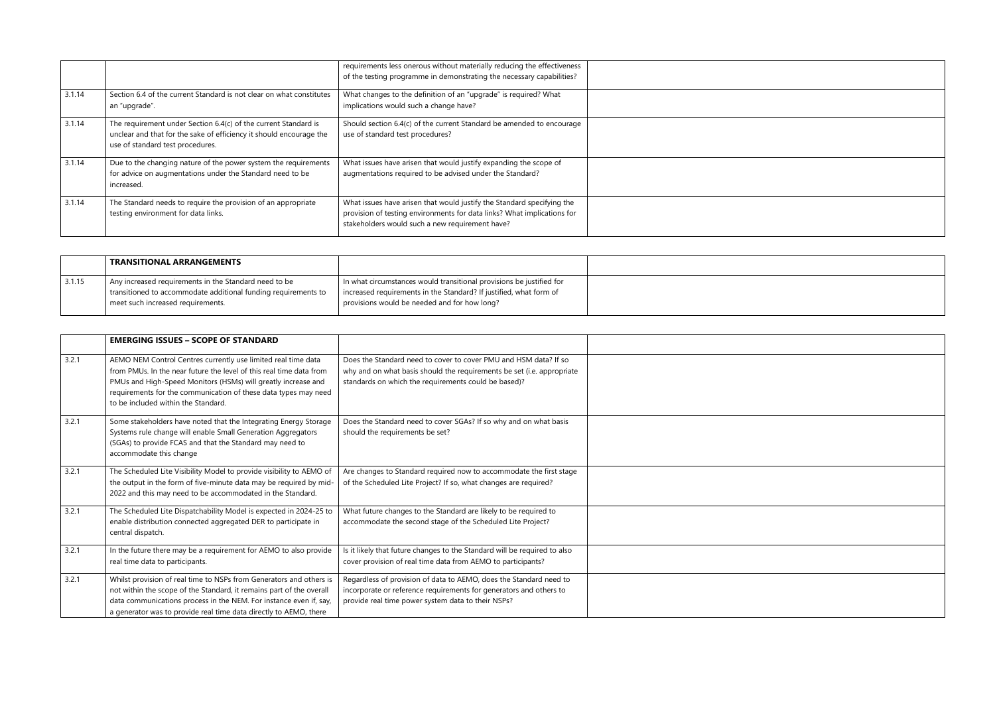|        |                                                                                                                                                                            | requirements less onerous without materially reducing the effectiveness<br>of the testing programme in demonstrating the necessary capabilities?                                                     |  |
|--------|----------------------------------------------------------------------------------------------------------------------------------------------------------------------------|------------------------------------------------------------------------------------------------------------------------------------------------------------------------------------------------------|--|
| 3.1.14 | Section 6.4 of the current Standard is not clear on what constitutes<br>an "upgrade".                                                                                      | What changes to the definition of an "upgrade" is required? What<br>implications would such a change have?                                                                                           |  |
| 3.1.14 | The requirement under Section 6.4(c) of the current Standard is<br>unclear and that for the sake of efficiency it should encourage the<br>use of standard test procedures. | Should section 6.4(c) of the current Standard be amended to encourage<br>use of standard test procedures?                                                                                            |  |
| 3.1.14 | Due to the changing nature of the power system the requirements<br>for advice on augmentations under the Standard need to be<br>increased.                                 | What issues have arisen that would justify expanding the scope of<br>augmentations required to be advised under the Standard?                                                                        |  |
| 3.1.14 | The Standard needs to require the provision of an appropriate<br>testing environment for data links.                                                                       | What issues have arisen that would justify the Standard specifying the<br>provision of testing environments for data links? What implications for<br>stakeholders would such a new requirement have? |  |

|        | <b>TRANSITIONAL ARRANGEMENTS</b>                               |                                                                      |  |
|--------|----------------------------------------------------------------|----------------------------------------------------------------------|--|
| 3.1.15 | Any increased requirements in the Standard need to be          | In what circumstances would transitional provisions be justified for |  |
|        | transitioned to accommodate additional funding requirements to | increased requirements in the Standard? If justified, what form of   |  |
|        | meet such increased requirements.                              | provisions would be needed and for how long?                         |  |
|        |                                                                |                                                                      |  |

|       | <b>EMERGING ISSUES - SCOPE OF STANDARD</b>                                                                                                                                                                                                                                                                      |                                                                                                                                                                                                    |  |
|-------|-----------------------------------------------------------------------------------------------------------------------------------------------------------------------------------------------------------------------------------------------------------------------------------------------------------------|----------------------------------------------------------------------------------------------------------------------------------------------------------------------------------------------------|--|
| 3.2.1 | AEMO NEM Control Centres currently use limited real time data<br>from PMUs. In the near future the level of this real time data from<br>PMUs and High-Speed Monitors (HSMs) will greatly increase and<br>requirements for the communication of these data types may need<br>to be included within the Standard. | Does the Standard need to cover to cover PMU and HSM data? If so<br>why and on what basis should the requirements be set (i.e. appropriate<br>standards on which the requirements could be based)? |  |
| 3.2.1 | Some stakeholders have noted that the Integrating Energy Storage<br>Systems rule change will enable Small Generation Aggregators<br>(SGAs) to provide FCAS and that the Standard may need to<br>accommodate this change                                                                                         | Does the Standard need to cover SGAs? If so why and on what basis<br>should the requirements be set?                                                                                               |  |
| 3.2.1 | The Scheduled Lite Visibility Model to provide visibility to AEMO of<br>the output in the form of five-minute data may be required by mid-<br>2022 and this may need to be accommodated in the Standard.                                                                                                        | Are changes to Standard required now to accommodate the first stage<br>of the Scheduled Lite Project? If so, what changes are required?                                                            |  |
| 3.2.1 | The Scheduled Lite Dispatchability Model is expected in 2024-25 to<br>enable distribution connected aggregated DER to participate in<br>central dispatch.                                                                                                                                                       | What future changes to the Standard are likely to be required to<br>accommodate the second stage of the Scheduled Lite Project?                                                                    |  |
| 3.2.1 | In the future there may be a requirement for AEMO to also provide<br>real time data to participants.                                                                                                                                                                                                            | Is it likely that future changes to the Standard will be required to also<br>cover provision of real time data from AEMO to participants?                                                          |  |
| 3.2.1 | Whilst provision of real time to NSPs from Generators and others is<br>not within the scope of the Standard, it remains part of the overall<br>data communications process in the NEM. For instance even if, say,<br>a generator was to provide real time data directly to AEMO, there                          | Regardless of provision of data to AEMO, does the Standard need to<br>incorporate or reference requirements for generators and others to<br>provide real time power system data to their NSPs?     |  |